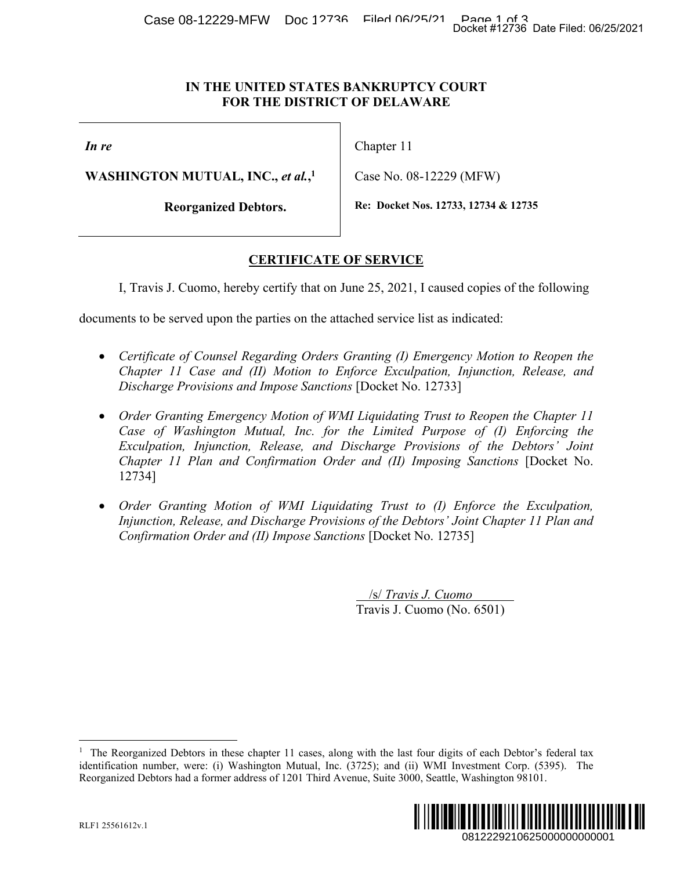## **IN THE UNITED STATES BANKRUPTCY COURT FOR THE DISTRICT OF DELAWARE**

*In re* 

**WASHINGTON MUTUAL, INC.,** *et al.***, 1** 

**Reorganized Debtors.**

Chapter 11

Case No. 08-12229 (MFW)

**Re: Docket Nos. 12733, 12734 & 12735** 

## **CERTIFICATE OF SERVICE**

I, Travis J. Cuomo, hereby certify that on June 25, 2021, I caused copies of the following

documents to be served upon the parties on the attached service list as indicated:

- Certificate of Counsel Regarding Orders Granting (I) Emergency Motion to Reopen the *Chapter 11 Case and (II) Motion to Enforce Exculpation, Injunction, Release, and Discharge Provisions and Impose Sanctions* [Docket No. 12733]
- *Order Granting Emergency Motion of WMI Liquidating Trust to Reopen the Chapter 11 Case of Washington Mutual, Inc. for the Limited Purpose of (I) Enforcing the Exculpation, Injunction, Release, and Discharge Provisions of the Debtors' Joint Chapter 11 Plan and Confirmation Order and (II) Imposing Sanctions [Docket No.* 12734] Docket #12736 Date Filed: 06/25/2021<br>
DURT<br>
DURT<br>
DURT<br>
DURT<br>
DURT<br>
DURT<br>
DURT<br>
DURT<br>
DURT<br>
DURT<br>
DURT<br>
DURT<br>
DURT<br>
DURT<br>
DURT<br>
DURT<br>
DURT<br>
DURI<br>
DURI<br>
DURI<br>
DURI<br>
DURI<br>
DURI<br>
DURI<br>
DURI<br>
DURI<br>
DURI<br>
DURI<br>
DURI<br>
DURI<br>
DUR
- *Order Granting Motion of WMI Liquidating Trust to (I) Enforce the Exculpation, Injunction, Release, and Discharge Provisions of the Debtors' Joint Chapter 11 Plan and Confirmation Order and (II) Impose Sanctions* [Docket No. 12735]

 /s/ *Travis J. Cuomo*  Travis J. Cuomo (No. 6501)

<sup>&</sup>lt;sup>1</sup> The Reorganized Debtors in these chapter 11 cases, along with the last four digits of each Debtor's federal tax identification number, were: (i) Washington Mutual, Inc. (3725); and (ii) WMI Investment Corp. (5395). The Reorganized Debtors had a former address of 1201 Third Avenue, Suite 3000, Seattle, Washington 98101.



<u>.</u>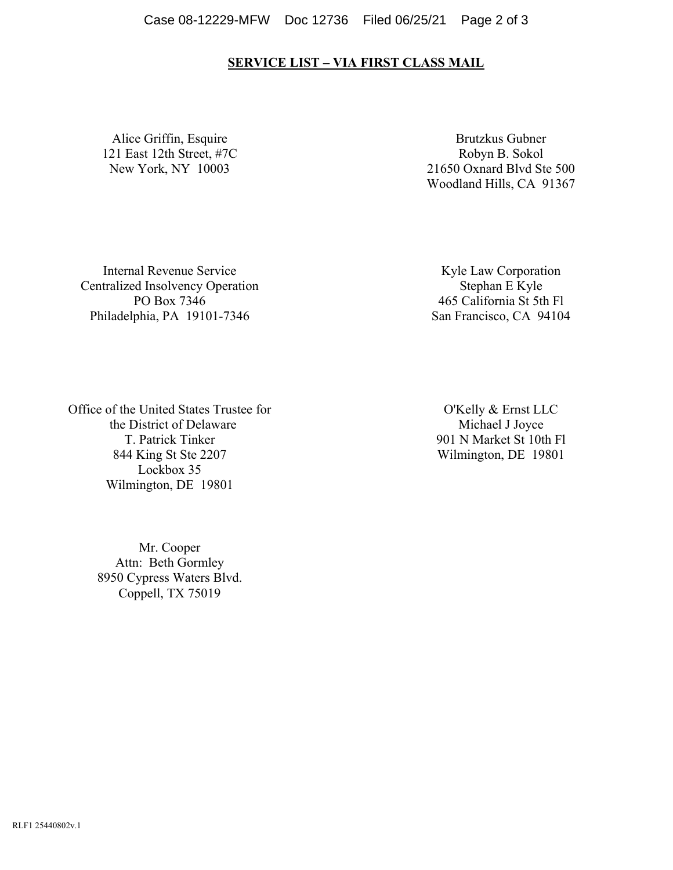#### Case 08-12229-MFW Doc 12736 Filed 06/25/21 Page 2 of 3

### **SERVICE LIST – VIA FIRST CLASS MAIL**

Alice Griffin, Esquire 121 East 12th Street, #7C New York, NY 10003

Brutzkus Gubner Robyn B. Sokol 21650 Oxnard Blvd Ste 500 Woodland Hills, CA 91367

Internal Revenue Service Centralized Insolvency Operation PO Box 7346 Philadelphia, PA 19101-7346

Kyle Law Corporation Stephan E Kyle 465 California St 5th Fl San Francisco, CA 94104

Office of the United States Trustee for the District of Delaware T. Patrick Tinker 844 King St Ste 2207 Lockbox 35 Wilmington, DE 19801

> Mr. Cooper Attn: Beth Gormley 8950 Cypress Waters Blvd. Coppell, TX 75019

O'Kelly & Ernst LLC Michael J Joyce 901 N Market St 10th Fl Wilmington, DE 19801